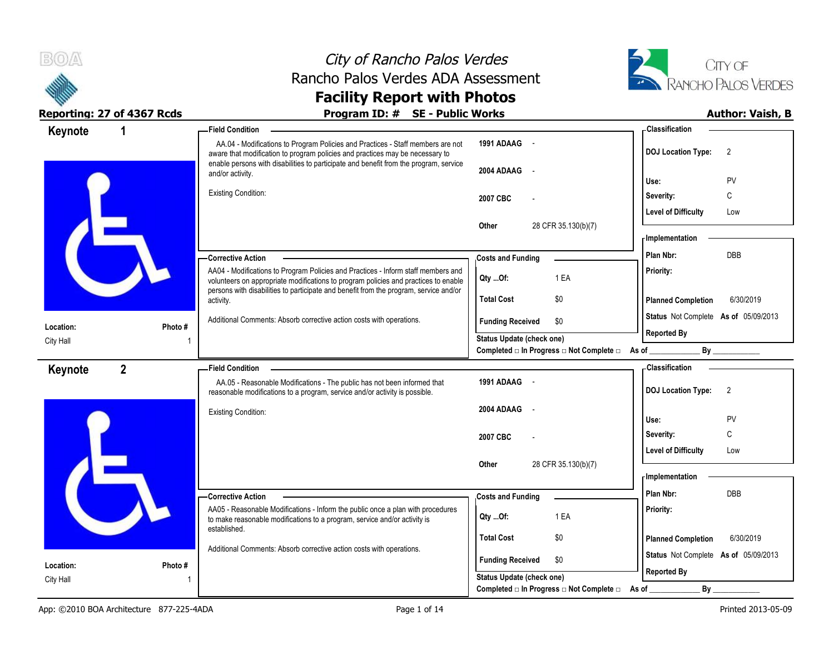



| Keynote   |                | - Field Condition                                                                                                                                                        |                                                                                    | - Classification                            |
|-----------|----------------|--------------------------------------------------------------------------------------------------------------------------------------------------------------------------|------------------------------------------------------------------------------------|---------------------------------------------|
|           |                | AA.04 - Modifications to Program Policies and Practices - Staff members are not<br>aware that modification to program policies and practices may be necessary to         | 1991 ADAAG -                                                                       | <b>DOJ Location Type:</b><br>$\overline{2}$ |
|           |                | enable persons with disabilities to participate and benefit from the program, service<br>and/or activity.                                                                | 2004 ADAAG                                                                         | PV<br>Use:                                  |
|           |                | <b>Existing Condition:</b>                                                                                                                                               | 2007 CBC                                                                           | Severity:<br>C                              |
|           |                |                                                                                                                                                                          |                                                                                    | <b>Level of Difficulty</b><br>Low           |
|           |                |                                                                                                                                                                          | 28 CFR 35.130(b)(7)<br><b>Other</b>                                                | <b>Implementation</b>                       |
|           |                | - Corrective Action                                                                                                                                                      | <b>Costs and Funding</b>                                                           | DBB<br>Plan Nbr:                            |
|           |                | AA04 - Modifications to Program Policies and Practices - Inform staff members and<br>volunteers on appropriate modifications to program policies and practices to enable | 1 EA<br>Qty Of:                                                                    | Priority:                                   |
|           |                | persons with disabilities to participate and benefit from the program, service and/or<br>activity.                                                                       | <b>Total Cost</b><br>\$0                                                           | <b>Planned Completion</b><br>6/30/2019      |
| Location: | Photo #        | Additional Comments: Absorb corrective action costs with operations.                                                                                                     | <b>Funding Received</b><br>\$0                                                     | Status Not Complete As of 05/09/2013        |
| City Hall |                |                                                                                                                                                                          | <b>Status Update (check one)</b><br>Completed □ In Progress □ Not Complete □ As of | <b>Reported By</b><br>By                    |
|           | $\overline{2}$ | Field Condition -                                                                                                                                                        |                                                                                    | - Classification                            |
| Keynote   |                | AA.05 - Reasonable Modifications - The public has not been informed that<br>reasonable modifications to a program, service and/or activity is possible.                  | 1991 ADAAG -                                                                       | <b>DOJ Location Type:</b><br>$\overline{2}$ |
|           |                | <b>Existing Condition:</b>                                                                                                                                               | 2004 ADAAG<br>$\sim$                                                               | Use:<br>PV                                  |
|           |                |                                                                                                                                                                          | 2007 CBC                                                                           | C<br>Severity:                              |
|           |                |                                                                                                                                                                          |                                                                                    | <b>Level of Difficulty</b><br>Low           |
|           |                |                                                                                                                                                                          | 28 CFR 35.130(b)(7)<br><b>Other</b>                                                | <b>Implementation</b>                       |
|           |                | -Corrective Action                                                                                                                                                       | <b>Costs and Funding</b>                                                           | Plan Nbr:<br><b>DBB</b>                     |
|           |                | AA05 - Reasonable Modifications - Inform the public once a plan with procedures<br>to make reasonable modifications to a program, service and/or activity is             | 1 EA<br>Qty Of:                                                                    | Priority:                                   |
|           |                | established.                                                                                                                                                             | <b>Total Cost</b><br>\$0                                                           | <b>Planned Completion</b><br>6/30/2019      |
| Location: | Photo #        | Additional Comments: Absorb corrective action costs with operations.                                                                                                     | <b>Funding Received</b><br>\$0                                                     | Status Not Complete As of 05/09/2013        |
| City Hall |                |                                                                                                                                                                          | <b>Status Update (check one)</b>                                                   | <b>Reported By</b>                          |
|           |                |                                                                                                                                                                          | Completed □ In Progress □ Not Complete □                                           | $By_$<br>As of                              |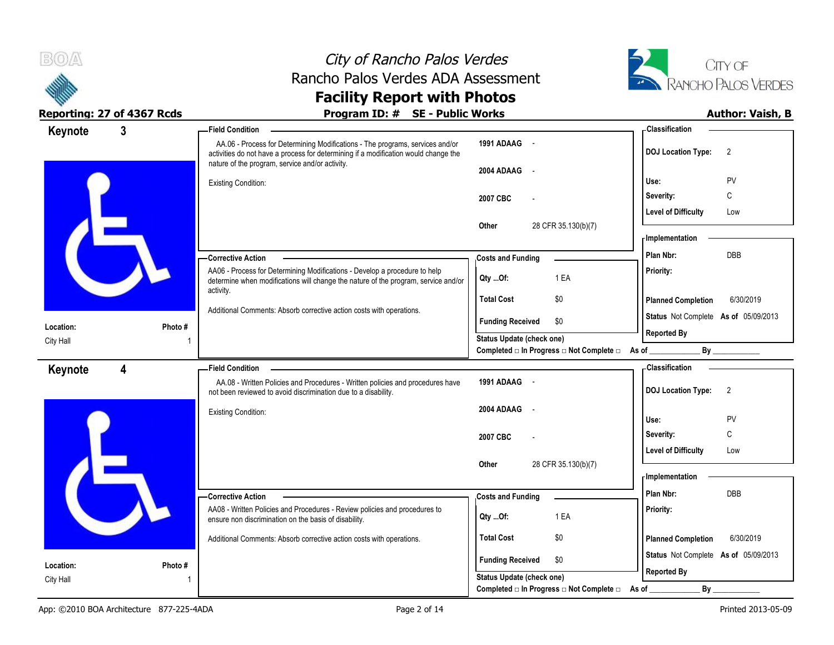



|                        | Reporting: 27 of 4367 Rcds | Program ID: # SE - Public Works                                                                                                                                                                                         |                                                         | <b>Author: Vaish, B</b>                                 |
|------------------------|----------------------------|-------------------------------------------------------------------------------------------------------------------------------------------------------------------------------------------------------------------------|---------------------------------------------------------|---------------------------------------------------------|
| Keynote                | $3\overline{3}$            | Field Condition __                                                                                                                                                                                                      |                                                         | - Classification                                        |
|                        |                            | AA.06 - Process for Determining Modifications - The programs, services and/or<br>activities do not have a process for determining if a modification would change the<br>nature of the program, service and/or activity. | 1991 ADAAG -                                            | <b>DOJ Location Type:</b><br>$\overline{2}$             |
|                        |                            |                                                                                                                                                                                                                         | 2004 ADAAG -                                            | PV<br>Use:                                              |
|                        |                            | Existing Condition:                                                                                                                                                                                                     |                                                         | C                                                       |
|                        |                            |                                                                                                                                                                                                                         | 2007 CBC                                                | Severity:                                               |
|                        |                            |                                                                                                                                                                                                                         | 28 CFR 35.130(b)(7)<br>Other                            | Level of Difficulty<br>Low                              |
|                        |                            |                                                                                                                                                                                                                         |                                                         | <b>Implementation</b>                                   |
|                        |                            |                                                                                                                                                                                                                         |                                                         | <b>DBB</b><br>Plan Nbr:                                 |
|                        |                            | - Corrective Action<br>AA06 - Process for Determining Modifications - Develop a procedure to help                                                                                                                       | <b>Costs and Funding</b>                                | Priority:                                               |
|                        |                            | determine when modifications will change the nature of the program, service and/or                                                                                                                                      | 1 EA<br>Qty Of:                                         |                                                         |
|                        |                            | activity.                                                                                                                                                                                                               | <b>Total Cost</b><br>\$0                                | <b>Planned Completion</b><br>6/30/2019                  |
|                        |                            | Additional Comments: Absorb corrective action costs with operations.                                                                                                                                                    |                                                         | Status Not Complete As of 05/09/2013                    |
| Location:              | Photo #                    |                                                                                                                                                                                                                         | <b>Funding Received</b><br>\$0                          | <b>Reported By</b>                                      |
| City Hall              |                            |                                                                                                                                                                                                                         | Status Update (check one)                               |                                                         |
|                        |                            |                                                                                                                                                                                                                         | Completed □ In Progress □ Not Complete □ As of ________ | By                                                      |
| Keynote                | 4                          | Field Condition ___                                                                                                                                                                                                     |                                                         | <b>Classification</b>                                   |
|                        |                            | AA.08 - Written Policies and Procedures - Written policies and procedures have<br>not been reviewed to avoid discrimination due to a disability.                                                                        | 1991 ADAAG -                                            | <b>DOJ Location Type:</b><br>$\overline{\phantom{0}}^2$ |
|                        |                            |                                                                                                                                                                                                                         | 2004 ADAAG<br>$\sim$                                    |                                                         |
|                        |                            | <b>Existing Condition:</b>                                                                                                                                                                                              |                                                         | Use:<br><b>PV</b>                                       |
|                        |                            |                                                                                                                                                                                                                         | 2007 CBC                                                | C<br>Severity:                                          |
|                        |                            |                                                                                                                                                                                                                         |                                                         | <b>Level of Difficulty</b><br>Low                       |
|                        |                            |                                                                                                                                                                                                                         | Other<br>28 CFR 35.130(b)(7)                            |                                                         |
|                        |                            |                                                                                                                                                                                                                         |                                                         | - Implementation                                        |
|                        |                            | -Corrective Action                                                                                                                                                                                                      | <b>Costs and Funding</b>                                | Plan Nbr:<br><b>DBB</b>                                 |
|                        |                            | AA08 - Written Policies and Procedures - Review policies and procedures to                                                                                                                                              | 1 EA<br>Qty Of:                                         | <b>Priority:</b>                                        |
|                        |                            | ensure non discrimination on the basis of disability.                                                                                                                                                                   |                                                         |                                                         |
|                        |                            | Additional Comments: Absorb corrective action costs with operations.                                                                                                                                                    | <b>Total Cost</b><br>\$0                                | <b>Planned Completion</b><br>6/30/2019                  |
|                        |                            |                                                                                                                                                                                                                         | <b>Funding Received</b><br>\$0                          | Status Not Complete As of 05/09/2013                    |
| Location:<br>City Hall | Photo #                    |                                                                                                                                                                                                                         | <b>Status Update (check one)</b>                        | <b>Reported By</b>                                      |
|                        |                            |                                                                                                                                                                                                                         | Completed □ In Progress □ Not Complete □                | By<br>As of                                             |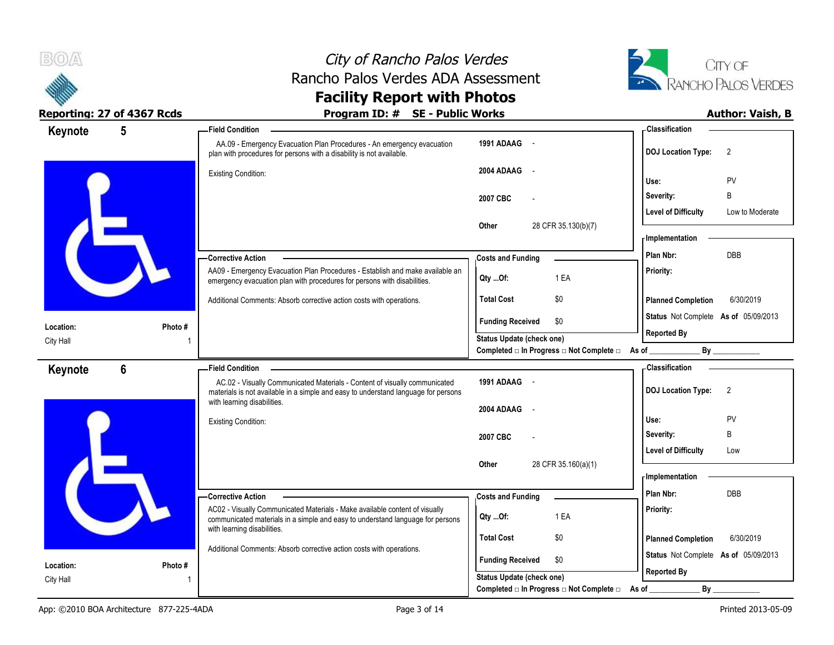



| Keynote   | 5              | <b>Field Condition</b>                                                                                                                                           |                                                                       | - Classification                              |
|-----------|----------------|------------------------------------------------------------------------------------------------------------------------------------------------------------------|-----------------------------------------------------------------------|-----------------------------------------------|
|           |                | AA.09 - Emergency Evacuation Plan Procedures - An emergency evacuation<br>plan with procedures for persons with a disability is not available.                   | 1991 ADAAG -                                                          | <b>DOJ Location Type:</b><br>2                |
|           |                | Existing Condition:                                                                                                                                              | 2004 ADAAG<br>$\sim$                                                  | PV<br>Use:                                    |
|           |                |                                                                                                                                                                  | 2007 CBC<br>$\overline{\phantom{a}}$                                  | B<br>Severity:                                |
|           |                |                                                                                                                                                                  |                                                                       | <b>Level of Difficulty</b><br>Low to Moderate |
|           |                |                                                                                                                                                                  | 28 CFR 35.130(b)(7)<br>Other                                          | - Implementation -                            |
|           |                | -Corrective Action                                                                                                                                               | <b>Costs and Funding</b>                                              | DBB<br>Plan Nbr:                              |
|           |                | AA09 - Emergency Evacuation Plan Procedures - Establish and make available an<br>emergency evacuation plan with procedures for persons with disabilities.        | 1 EA<br>Qty Of:                                                       | Priority:                                     |
|           |                | Additional Comments: Absorb corrective action costs with operations.                                                                                             | <b>Total Cost</b><br>\$0                                              | <b>Planned Completion</b><br>6/30/2019        |
| Location: | Photo #        |                                                                                                                                                                  | <b>Funding Received</b><br>\$0                                        | Status Not Complete As of 05/09/2013          |
| City Hall |                |                                                                                                                                                                  | Status Update (check one)<br>Completed □ In Progress □ Not Complete □ | <b>Reported By</b><br>As of<br>By             |
| Keynote   | $6\phantom{1}$ | <b>Field Condition</b>                                                                                                                                           |                                                                       | <b>Classification</b>                         |
|           |                | AC.02 - Visually Communicated Materials - Content of visually communicated<br>materials is not available in a simple and easy to understand language for persons | 1991 ADAAG -                                                          | <b>DOJ Location Type:</b><br>$\overline{2}$   |
|           |                | with learning disabilities.                                                                                                                                      | 2004 ADAAG<br>$\sim$                                                  |                                               |
|           |                | Existing Condition:                                                                                                                                              |                                                                       | PV<br>Use:                                    |
|           |                |                                                                                                                                                                  | 2007 CBC                                                              | B<br>Severity:                                |
|           |                |                                                                                                                                                                  | 28 CFR 35.160(a)(1)<br>Other                                          | <b>Level of Difficulty</b><br>Low             |
|           |                |                                                                                                                                                                  |                                                                       | - Implementation                              |
|           |                | - Corrective Action                                                                                                                                              | <b>Costs and Funding</b>                                              | Plan Nbr:<br><b>DBB</b>                       |
|           |                | AC02 - Visually Communicated Materials - Make available content of visually                                                                                      | 1 EA<br>$Qty$ Of:                                                     | Priority:                                     |
|           |                | communicated materials in a simple and easy to understand language for persons<br>with learning disabilities.                                                    |                                                                       |                                               |
|           |                | Additional Comments: Absorb corrective action costs with operations.                                                                                             | <b>Total Cost</b><br>\$0                                              | 6/30/2019<br><b>Planned Completion</b>        |
| Location: | Photo#         |                                                                                                                                                                  | <b>Funding Received</b><br>\$0                                        | Status Not Complete As of 05/09/2013          |
| City Hall |                |                                                                                                                                                                  | Status Update (check one)                                             | <b>Reported By</b>                            |
|           |                |                                                                                                                                                                  | Completed □ In Progress □ Not Complete □ As of                        | By                                            |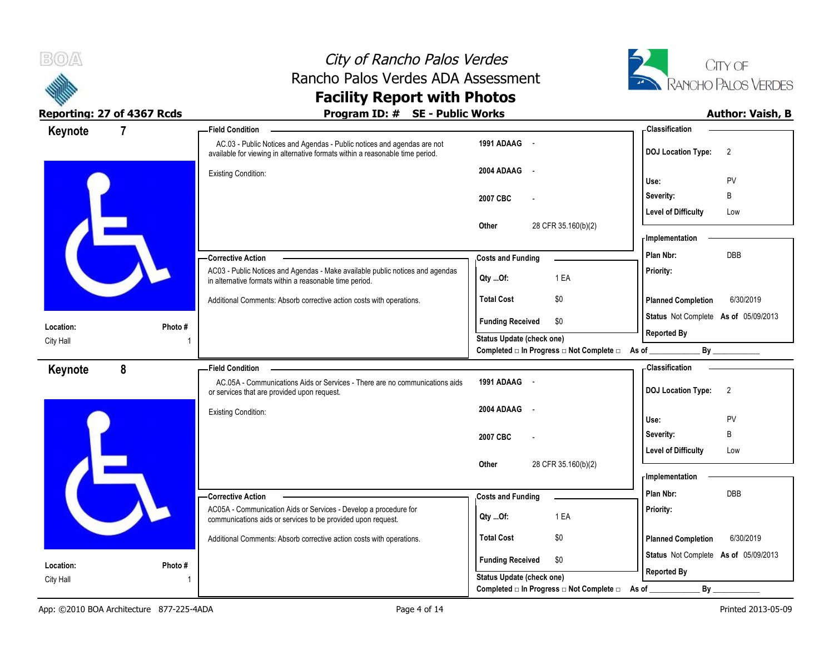

**BOA** 

City of Rancho Palos Verdes Rancho Palos Verdes ADA Assessment **Facility Report with Photos**



| Keynote                | $\overline{7}$ | <b>Field Condition</b>                                                                                                                                   |                                                | - Classification                            |
|------------------------|----------------|----------------------------------------------------------------------------------------------------------------------------------------------------------|------------------------------------------------|---------------------------------------------|
|                        |                | AC.03 - Public Notices and Agendas - Public notices and agendas are not<br>available for viewing in alternative formats within a reasonable time period. | 1991 ADAAG -                                   | <b>DOJ Location Type:</b><br>$\overline{2}$ |
|                        |                | <b>Existing Condition:</b>                                                                                                                               | 2004 ADAAG<br>$\sim$                           | PV<br>Use:                                  |
|                        |                |                                                                                                                                                          | 2007 CBC<br>$\overline{\phantom{a}}$           | B<br>Severity:                              |
|                        |                |                                                                                                                                                          |                                                | <b>Level of Difficulty</b><br>Low           |
|                        |                |                                                                                                                                                          | 28 CFR 35.160(b)(2)<br>Other                   | - Implementation                            |
|                        |                | -Corrective Action                                                                                                                                       | <b>Costs and Funding</b>                       | DBB<br>Plan Nbr:                            |
|                        |                | AC03 - Public Notices and Agendas - Make available public notices and agendas<br>in alternative formats within a reasonable time period.                 | 1 EA<br>Qty Of:                                | Priority:                                   |
|                        |                | Additional Comments: Absorb corrective action costs with operations.                                                                                     | \$0<br><b>Total Cost</b>                       | <b>Planned Completion</b><br>6/30/2019      |
|                        |                |                                                                                                                                                          | <b>Funding Received</b><br>\$0                 | Status Not Complete As of 05/09/2013        |
| Location:<br>City Hall | Photo#         |                                                                                                                                                          | <b>Status Update (check one)</b>               | <b>Reported By</b>                          |
|                        |                |                                                                                                                                                          | Completed □ In Progress □ Not Complete □ As of |                                             |
| Keynote                | 8              | <b>Field Condition</b>                                                                                                                                   |                                                | <b>Classification</b>                       |
|                        |                | AC.05A - Communications Aids or Services - There are no communications aids<br>or services that are provided upon request.                               | 1991 ADAAG -                                   | <b>DOJ Location Type:</b><br>$\overline{2}$ |
|                        |                | <b>Existing Condition:</b>                                                                                                                               | 2004 ADAAG<br>$\sim$                           | Use:<br>PV                                  |
|                        |                |                                                                                                                                                          | 2007 CBC                                       | B<br>Severity:                              |
|                        |                |                                                                                                                                                          |                                                | <b>Level of Difficulty</b><br>Low           |
|                        |                |                                                                                                                                                          | 28 CFR 35.160(b)(2)<br>Other                   |                                             |
|                        |                |                                                                                                                                                          |                                                | <b>Implementation</b>                       |
|                        |                | -Corrective Action                                                                                                                                       | <b>Costs and Funding</b>                       | Plan Nbr:<br>DBB                            |
|                        |                | AC05A - Communication Aids or Services - Develop a procedure for<br>communications aids or services to be provided upon request.                         | 1 EA<br>Qty Of:                                | Priority:                                   |
|                        |                | Additional Comments: Absorb corrective action costs with operations.                                                                                     | <b>Total Cost</b><br>\$0                       | 6/30/2019<br><b>Planned Completion</b>      |
| Location:              | Photo #        |                                                                                                                                                          | <b>Funding Received</b><br>\$0                 | Status Not Complete As of 05/09/2013        |
| City Hall              |                |                                                                                                                                                          | <b>Status Update (check one)</b>               | <b>Reported By</b>                          |
|                        |                |                                                                                                                                                          | Completed □ In Progress □ Not Complete □       | $By_$<br>As of                              |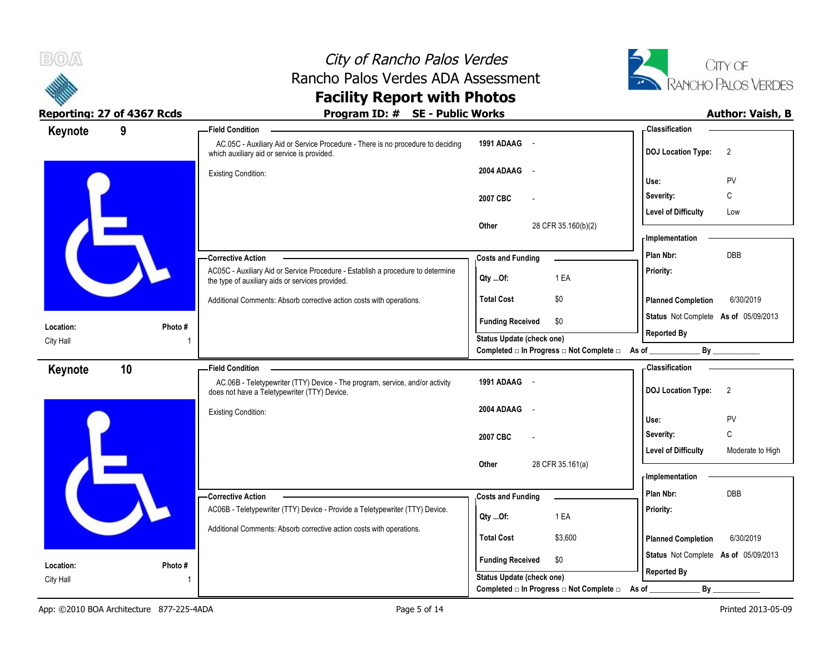



| Keynote   | 9       | <b>Field Condition</b>                                                                                                         |                                                                                       | <b>Classification</b>                          |
|-----------|---------|--------------------------------------------------------------------------------------------------------------------------------|---------------------------------------------------------------------------------------|------------------------------------------------|
|           |         | AC.05C - Auxiliary Aid or Service Procedure - There is no procedure to deciding<br>which auxiliary aid or service is provided. | 1991 ADAAG -                                                                          | <b>DOJ Location Type:</b><br>$\overline{2}$    |
|           |         | <b>Existing Condition:</b>                                                                                                     | 2004 ADAAG<br>$\sim$                                                                  | PV<br>Use:                                     |
|           |         |                                                                                                                                | 2007 CBC                                                                              | $\mathsf C$<br>Severity:                       |
|           |         |                                                                                                                                |                                                                                       | <b>Level of Difficulty</b><br>Low              |
|           |         |                                                                                                                                | 28 CFR 35.160(b)(2)<br>Other                                                          | - Implementation                               |
|           |         | - Corrective Action                                                                                                            |                                                                                       | <b>DBB</b><br>Plan Nbr:                        |
|           |         | AC05C - Auxiliary Aid or Service Procedure - Establish a procedure to determine                                                | <b>Costs and Funding</b>                                                              | <b>Priority:</b>                               |
|           |         | the type of auxiliary aids or services provided.                                                                               | 1 EA<br>Qty Of:                                                                       |                                                |
|           |         | Additional Comments: Absorb corrective action costs with operations.                                                           | \$0<br><b>Total Cost</b>                                                              | <b>Planned Completion</b><br>6/30/2019         |
| Location: | Photo#  |                                                                                                                                | <b>Funding Received</b><br>\$0                                                        | Status Not Complete As of 05/09/2013           |
| City Hall |         |                                                                                                                                | Status Update (check one)<br>Completed □ In Progress □ Not Complete □ As of _________ | <b>Reported By</b><br>By                       |
| Keynote   | 10      | <b>Field Condition</b>                                                                                                         |                                                                                       | <b>Classification</b>                          |
|           |         | AC.06B - Teletypewriter (TTY) Device - The program, service, and/or activity<br>does not have a Teletypewriter (TTY) Device.   | 1991 ADAAG -                                                                          | <b>DOJ Location Type:</b><br>2                 |
|           |         | <b>Existing Condition:</b>                                                                                                     | 2004 ADAAG -                                                                          | PV                                             |
|           |         |                                                                                                                                |                                                                                       | Use:<br>$\mathtt{C}$<br>Severity:              |
|           |         |                                                                                                                                | 2007 CBC                                                                              | <b>Level of Difficulty</b><br>Moderate to High |
|           |         |                                                                                                                                | 28 CFR 35.161(a)<br>Other                                                             |                                                |
|           |         |                                                                                                                                |                                                                                       | - Implementation                               |
|           |         | - Corrective Action                                                                                                            | <b>Costs and Funding</b>                                                              | Plan Nbr:<br><b>DBB</b>                        |
|           |         | AC06B - Teletypewriter (TTY) Device - Provide a Teletypewriter (TTY) Device.                                                   | 1 EA<br>Qty Of:                                                                       | Priority:                                      |
|           |         | Additional Comments: Absorb corrective action costs with operations.                                                           | <b>Total Cost</b><br>\$3,600                                                          | <b>Planned Completion</b><br>6/30/2019         |
|           |         |                                                                                                                                | <b>Funding Received</b><br>\$0                                                        | Status Not Complete As of 05/09/2013           |
| Location: | Photo # |                                                                                                                                | Status Update (check one)                                                             | <b>Reported By</b>                             |
| City Hall |         |                                                                                                                                | Completed □ In Progress □ Not Complete □                                              | $By_$<br>As of                                 |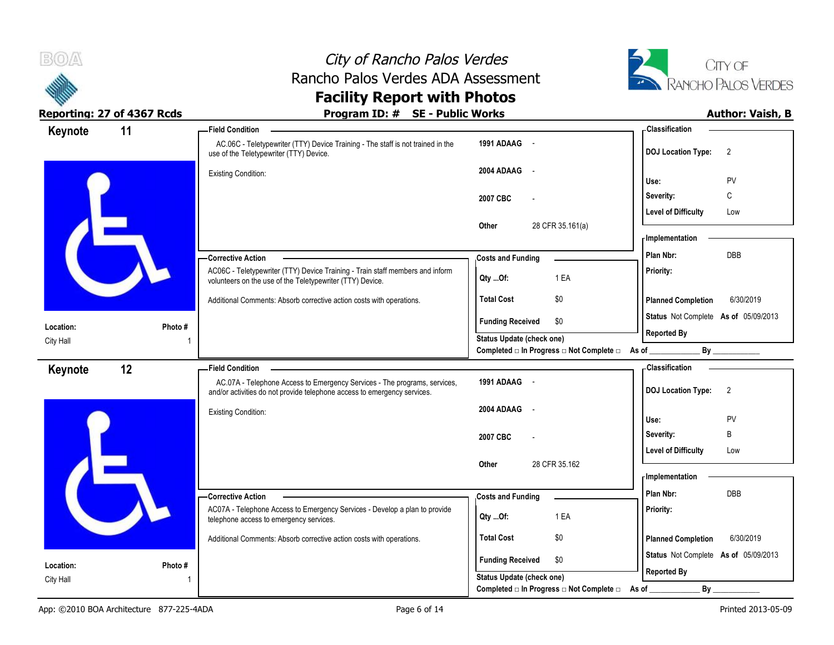



| Keynote   | 11      | - Field Condition                                                                                                                                     |                                                                                             | - Classification                            |
|-----------|---------|-------------------------------------------------------------------------------------------------------------------------------------------------------|---------------------------------------------------------------------------------------------|---------------------------------------------|
|           |         | AC.06C - Teletypewriter (TTY) Device Training - The staff is not trained in the<br>use of the Teletypewriter (TTY) Device.                            | 1991 ADAAG -                                                                                | <b>DOJ Location Type:</b><br>$\overline{2}$ |
|           |         | Existing Condition:                                                                                                                                   | 2004 ADAAG<br>$\sim$                                                                        | Use:<br>PV                                  |
|           |         |                                                                                                                                                       | 2007 CBC<br>$\overline{\phantom{a}}$                                                        | C<br>Severity:                              |
|           |         |                                                                                                                                                       |                                                                                             | <b>Level of Difficulty</b><br>Low           |
|           |         |                                                                                                                                                       | 28 CFR 35.161(a)<br>Other                                                                   | - Implementation                            |
|           |         | - Corrective Action                                                                                                                                   | <b>Costs and Funding</b>                                                                    | Plan Nbr:<br>DBB                            |
|           |         | AC06C - Teletypewriter (TTY) Device Training - Train staff members and inform<br>volunteers on the use of the Teletypewriter (TTY) Device.            | 1 EA<br>Qty Of:                                                                             | Priority:                                   |
|           |         | Additional Comments: Absorb corrective action costs with operations.                                                                                  | <b>Total Cost</b><br>\$0                                                                    | <b>Planned Completion</b><br>6/30/2019      |
| Location: | Photo#  |                                                                                                                                                       | <b>Funding Received</b><br>\$0                                                              | Status Not Complete As of 05/09/2013        |
| City Hall |         |                                                                                                                                                       | <b>Status Update (check one)</b><br>Completed □ In Progress □ Not Complete □ As of ________ | <b>Reported By</b><br>By                    |
| Keynote   | 12      | <b>Field Condition</b>                                                                                                                                |                                                                                             | - Classification                            |
|           |         | AC.07A - Telephone Access to Emergency Services - The programs, services,<br>and/or activities do not provide telephone access to emergency services. | 1991 ADAAG -                                                                                | <b>DOJ Location Type:</b><br>$\overline{2}$ |
|           |         | <b>Existing Condition:</b>                                                                                                                            | 2004 ADAAG<br>$\sim$                                                                        | Use:<br>PV                                  |
|           |         |                                                                                                                                                       | 2007 CBC<br>$\overline{\phantom{a}}$                                                        | B<br>Severity:                              |
|           |         |                                                                                                                                                       |                                                                                             | <b>Level of Difficulty</b><br>Low           |
|           |         |                                                                                                                                                       | 28 CFR 35.162<br>Other                                                                      |                                             |
|           |         |                                                                                                                                                       |                                                                                             | <b>Implementation</b>                       |
|           |         | - Corrective Action                                                                                                                                   | <b>Costs and Funding</b>                                                                    | Plan Nbr:<br>DBB                            |
|           |         | AC07A - Telephone Access to Emergency Services - Develop a plan to provide<br>telephone access to emergency services.                                 | 1 EA<br>Qty Of:                                                                             | Priority:                                   |
|           |         | Additional Comments: Absorb corrective action costs with operations.                                                                                  | <b>Total Cost</b><br>\$0                                                                    | <b>Planned Completion</b><br>6/30/2019      |
| Location: | Photo # |                                                                                                                                                       | <b>Funding Received</b><br>\$0                                                              | Status Not Complete As of 05/09/2013        |
| City Hall |         |                                                                                                                                                       | Status Update (check one)                                                                   | <b>Reported By</b>                          |
|           |         |                                                                                                                                                       | Completed □ In Progress □ Not Complete □ As of                                              | By                                          |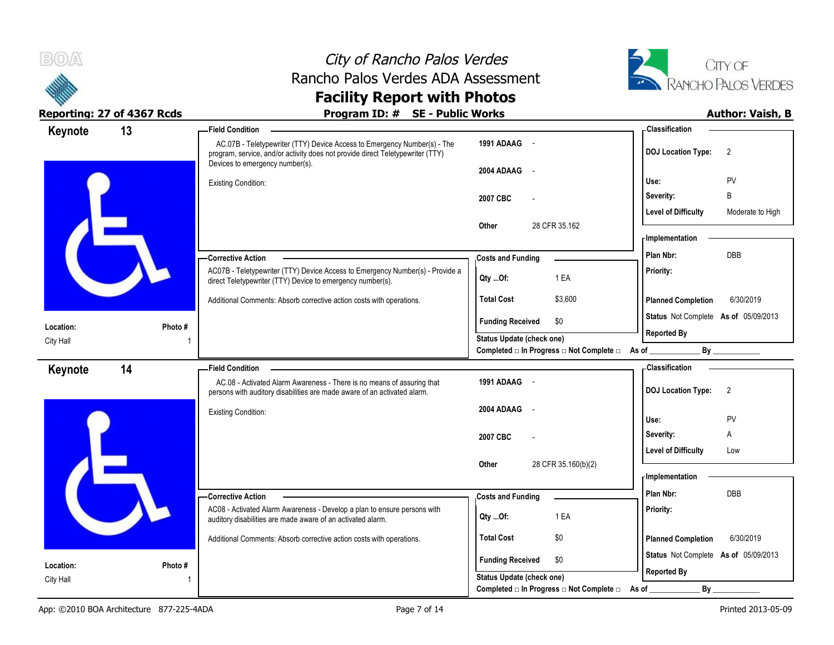



| Keynote   | 13      | <b>Field Condition</b>                                                                                                                                                                        |                                                        | <b>Classification</b>                                                |
|-----------|---------|-----------------------------------------------------------------------------------------------------------------------------------------------------------------------------------------------|--------------------------------------------------------|----------------------------------------------------------------------|
|           |         | AC.07B - Teletypewriter (TTY) Device Access to Emergency Number(s) - The<br>program, service, and/or activity does not provide direct Teletypewriter (TTY)<br>Devices to emergency number(s). | 1991 ADAAG -                                           | <b>DOJ</b> Location Type:<br>$\overline{2}$                          |
|           |         | <b>Existing Condition:</b>                                                                                                                                                                    | 2004 ADAAG<br>$\sim$                                   | PV<br>Use:                                                           |
|           |         |                                                                                                                                                                                               | 2007 CBC                                               | B<br>Severity:                                                       |
|           |         |                                                                                                                                                                                               |                                                        | <b>Level of Difficulty</b><br>Moderate to High                       |
|           |         |                                                                                                                                                                                               | 28 CFR 35.162<br>Other                                 | <b>Implementation</b>                                                |
|           |         | - Corrective Action                                                                                                                                                                           | <b>Costs and Funding</b>                               | <b>DBB</b><br>Plan Nbr:                                              |
|           |         | AC07B - Teletypewriter (TTY) Device Access to Emergency Number(s) - Provide a<br>direct Teletypewriter (TTY) Device to emergency number(s).                                                   | 1 EA<br>Qty Of:                                        | <b>Priority:</b>                                                     |
|           |         | Additional Comments: Absorb corrective action costs with operations.                                                                                                                          | \$3,600<br><b>Total Cost</b>                           | <b>Planned Completion</b><br>6/30/2019                               |
| Location: | Photo # |                                                                                                                                                                                               | \$0<br><b>Funding Received</b>                         | Status Not Complete As of 05/09/2013                                 |
| City Hall |         |                                                                                                                                                                                               | Status Update (check one)                              | <b>Reported By</b>                                                   |
|           |         |                                                                                                                                                                                               | Completed □ In Progress □ Not Complete □ As of _______ | By                                                                   |
| Keynote   | 14      | <b>Field Condition</b><br>AC.08 - Activated Alarm Awareness - There is no means of assuring that<br>persons with auditory disabilities are made aware of an activated alarm.                  | 1991 ADAAG -                                           | <b>Classification</b><br><b>DOJ Location Type:</b><br>$\overline{2}$ |
|           |         | <b>Existing Condition:</b>                                                                                                                                                                    | 2004 ADAAG<br>$\sim$                                   | PV<br>Use:                                                           |
|           |         |                                                                                                                                                                                               | 2007 CBC                                               | A<br>Severity:                                                       |
|           |         |                                                                                                                                                                                               |                                                        | <b>Level of Difficulty</b><br>Low                                    |
|           |         |                                                                                                                                                                                               | 28 CFR 35.160(b)(2)<br>Other                           | <b>Implementation</b>                                                |
|           |         | - Corrective Action                                                                                                                                                                           |                                                        | Plan Nbr:<br><b>DBB</b>                                              |
|           |         | AC08 - Activated Alarm Awareness - Develop a plan to ensure persons with                                                                                                                      | <b>Costs and Funding</b>                               | Priority:                                                            |
|           |         | auditory disabilities are made aware of an activated alarm.                                                                                                                                   | 1 EA<br>Qty Of:                                        |                                                                      |
|           |         | Additional Comments: Absorb corrective action costs with operations.                                                                                                                          | \$0<br><b>Total Cost</b>                               | <b>Planned Completion</b><br>6/30/2019                               |
| Location: | Photo#  |                                                                                                                                                                                               | <b>Funding Received</b><br>\$0                         | Status Not Complete As of 05/09/2013                                 |
| City Hall |         |                                                                                                                                                                                               | Status Update (check one)                              | <b>Reported By</b>                                                   |
|           |         |                                                                                                                                                                                               | Completed □ In Progress □ Not Complete □ As of         | By                                                                   |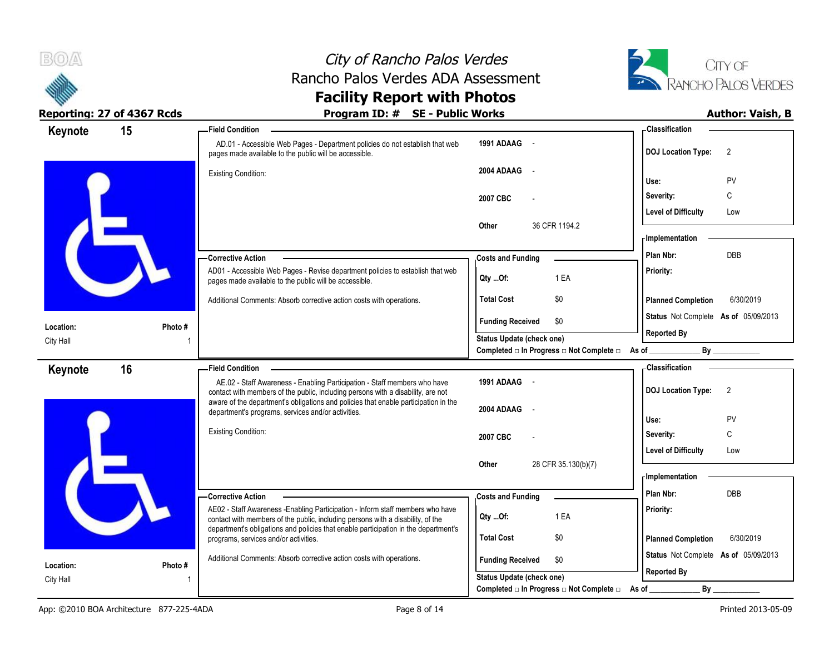



# Reporting: 27 of 4367 Rcds **Program ID: # SE - Public Works Program ID: # SE - Public Works Author: Vaish, B**

| Keynote                | 15     | - Field Condition -                                                                                                                                                                |                                                         | - Classification                                    |
|------------------------|--------|------------------------------------------------------------------------------------------------------------------------------------------------------------------------------------|---------------------------------------------------------|-----------------------------------------------------|
|                        |        | AD.01 - Accessible Web Pages - Department policies do not establish that web<br>pages made available to the public will be accessible.                                             | 1991 ADAAG -                                            | <b>DOJ Location Type:</b><br>$\overline{2}$         |
|                        |        | <b>Existing Condition:</b>                                                                                                                                                         | 2004 ADAAG<br>$\sim$                                    | PV<br>Use:                                          |
|                        |        |                                                                                                                                                                                    | 2007 CBC                                                | C<br>Severity:                                      |
|                        |        |                                                                                                                                                                                    |                                                         | <b>Level of Difficulty</b><br>Low                   |
|                        |        |                                                                                                                                                                                    | 36 CFR 1194.2<br>Other                                  | - Implementation                                    |
|                        |        | -Corrective Action                                                                                                                                                                 | <b>Costs and Funding</b>                                | <b>DBB</b><br>Plan Nbr:                             |
|                        |        | AD01 - Accessible Web Pages - Revise department policies to establish that web<br>pages made available to the public will be accessible.                                           | 1 EA<br>Qty Of:                                         | Priority:                                           |
|                        |        | Additional Comments: Absorb corrective action costs with operations.                                                                                                               | <b>Total Cost</b><br>\$0                                | <b>Planned Completion</b><br>6/30/2019              |
| Location:              | Photo# |                                                                                                                                                                                    | \$0<br><b>Funding Received</b>                          | Status Not Complete As of 05/09/2013                |
| City Hall              |        |                                                                                                                                                                                    | Status Update (check one)                               | <b>Reported By</b>                                  |
|                        |        |                                                                                                                                                                                    | Completed □ In Progress □ Not Complete □ As of ________ | By<br>- Classification                              |
| Keynote                | 16     | Field Condition –<br>AE.02 - Staff Awareness - Enabling Participation - Staff members who have<br>contact with members of the public, including persons with a disability, are not | 1991 ADAAG -                                            | <b>DOJ Location Type:</b><br>$\overline{2}$         |
|                        |        | aware of the department's obligations and policies that enable participation in the<br>department's programs, services and/or activities.                                          | 2004 ADAAG<br>$\sim$ $-$                                |                                                     |
|                        |        | <b>Existing Condition:</b>                                                                                                                                                         |                                                         | Use:<br>PV                                          |
|                        |        |                                                                                                                                                                                    | 2007 CBC                                                | C<br>Severity:<br><b>Level of Difficulty</b><br>Low |
|                        |        |                                                                                                                                                                                    | 28 CFR 35.130(b)(7)<br><b>Other</b>                     |                                                     |
|                        |        |                                                                                                                                                                                    |                                                         | - Implementation                                    |
|                        |        | -Corrective Action                                                                                                                                                                 | <b>Costs and Funding</b>                                | Plan Nbr:<br><b>DBB</b>                             |
|                        |        | AE02 - Staff Awareness - Enabling Participation - Inform staff members who have<br>contact with members of the public, including persons with a disability, of the                 | 1 EA<br>Qty Of:                                         | Priority:                                           |
|                        |        | department's obligations and policies that enable participation in the department's<br>programs, services and/or activities.                                                       | <b>Total Cost</b><br>\$0                                | <b>Planned Completion</b><br>6/30/2019              |
|                        |        | Additional Comments: Absorb corrective action costs with operations.                                                                                                               | \$0                                                     | Status Not Complete As of 05/09/2013                |
|                        |        |                                                                                                                                                                                    | <b>Funding Received</b>                                 |                                                     |
| Location:<br>City Hall | Photo# |                                                                                                                                                                                    | <b>Status Update (check one)</b>                        | <b>Reported By</b>                                  |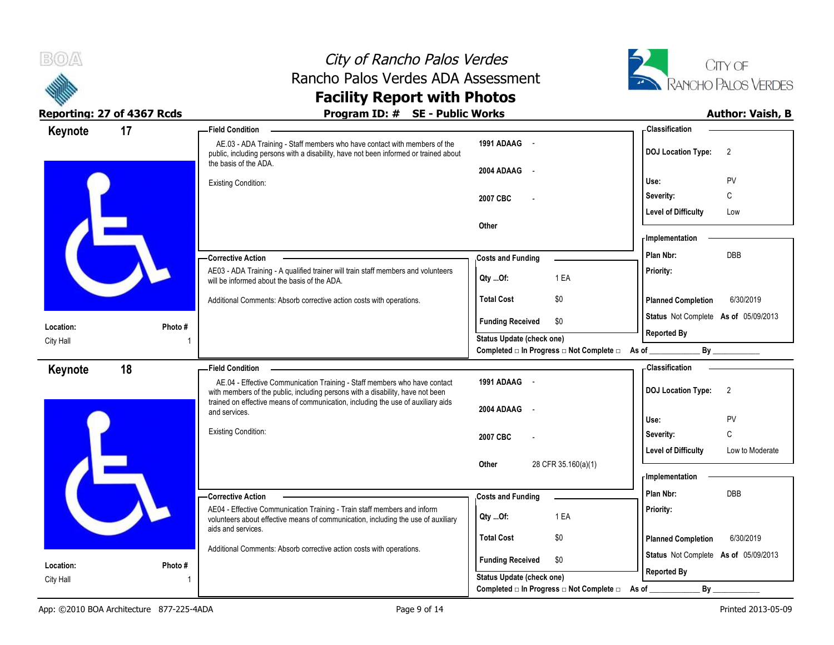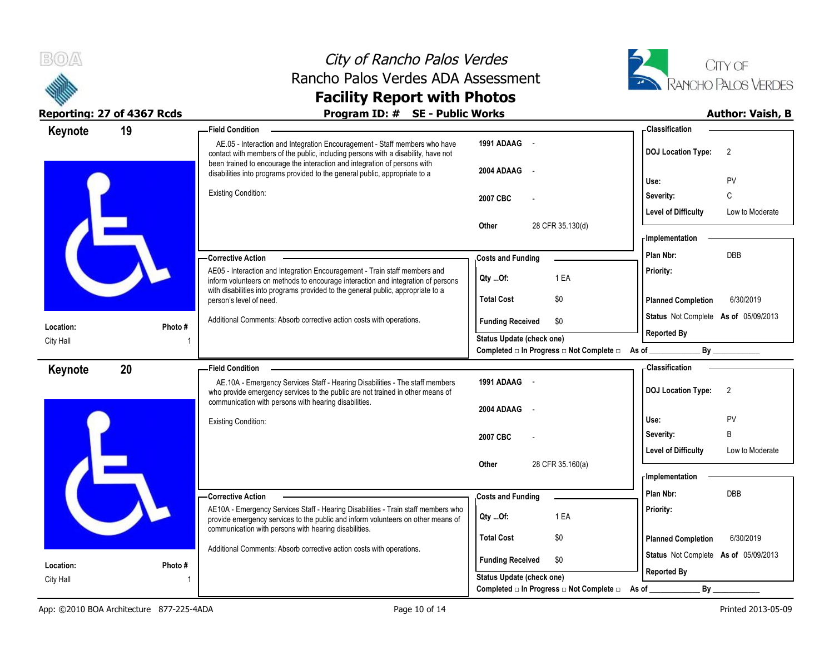



| Keynote   | 19      | <b>Field Condition</b>                                                                                                                                                                                                                             |                                                         | - Classification                              |
|-----------|---------|----------------------------------------------------------------------------------------------------------------------------------------------------------------------------------------------------------------------------------------------------|---------------------------------------------------------|-----------------------------------------------|
|           |         | AE.05 - Interaction and Integration Encouragement - Staff members who have<br>contact with members of the public, including persons with a disability, have not                                                                                    | 1991 ADAAG -                                            | <b>DOJ Location Type:</b><br>2                |
|           |         | been trained to encourage the interaction and integration of persons with<br>disabilities into programs provided to the general public, appropriate to a                                                                                           | 2004 ADAAG<br>$\sim$                                    | PV<br>Use:                                    |
|           |         | <b>Existing Condition:</b>                                                                                                                                                                                                                         | 2007 CBC                                                | C<br>Severity:                                |
|           |         |                                                                                                                                                                                                                                                    |                                                         | <b>Level of Difficulty</b><br>Low to Moderate |
|           |         |                                                                                                                                                                                                                                                    | 28 CFR 35.130(d)<br>Other                               |                                               |
|           |         |                                                                                                                                                                                                                                                    |                                                         | <b>Implementation</b><br>DBB<br>Plan Nbr:     |
|           |         | - Corrective Action                                                                                                                                                                                                                                | <b>Costs and Funding</b>                                |                                               |
|           |         | AE05 - Interaction and Integration Encouragement - Train staff members and<br>inform volunteers on methods to encourage interaction and integration of persons<br>with disabilities into programs provided to the general public, appropriate to a | 1 EA<br>Qty Of:                                         | Priority:                                     |
|           |         | person's level of need.                                                                                                                                                                                                                            | <b>Total Cost</b><br>\$0                                | <b>Planned Completion</b><br>6/30/2019        |
| Location: | Photo#  | Additional Comments: Absorb corrective action costs with operations.                                                                                                                                                                               | <b>Funding Received</b><br>\$0                          | Status Not Complete As of 05/09/2013          |
| City Hall |         |                                                                                                                                                                                                                                                    | Status Update (check one)                               | <b>Reported By</b>                            |
|           |         |                                                                                                                                                                                                                                                    | Completed □ In Progress □ Not Complete □ As of ________ | By                                            |
| Keynote   | 20      | Field Condition -                                                                                                                                                                                                                                  |                                                         | - Classification                              |
|           |         | AE.10A - Emergency Services Staff - Hearing Disabilities - The staff members<br>who provide emergency services to the public are not trained in other means of                                                                                     | 1991 ADAAG -                                            | <b>DOJ Location Type:</b><br>$\overline{2}$   |
|           |         | communication with persons with hearing disabilities.                                                                                                                                                                                              | 2004 ADAAG<br>$\sim$                                    |                                               |
|           |         | <b>Existing Condition:</b>                                                                                                                                                                                                                         |                                                         | Use:<br><b>PV</b>                             |
|           |         |                                                                                                                                                                                                                                                    | 2007 CBC                                                | B<br>Severity:                                |
|           |         |                                                                                                                                                                                                                                                    |                                                         | <b>Level of Difficulty</b><br>Low to Moderate |
|           |         |                                                                                                                                                                                                                                                    | 28 CFR 35.160(a)<br><b>Other</b>                        | <b>Implementation</b>                         |
|           |         | – Corrective Action                                                                                                                                                                                                                                |                                                         | Plan Nbr:<br><b>DBB</b>                       |
|           |         | AE10A - Emergency Services Staff - Hearing Disabilities - Train staff members who                                                                                                                                                                  | <b>Costs and Funding</b>                                | Priority:                                     |
|           |         | provide emergency services to the public and inform volunteers on other means of<br>communication with persons with hearing disabilities.                                                                                                          | 1 EA<br>Qty Of:                                         |                                               |
|           |         | Additional Comments: Absorb corrective action costs with operations.                                                                                                                                                                               | <b>Total Cost</b><br>\$0                                | <b>Planned Completion</b><br>6/30/2019        |
| Location: | Photo # |                                                                                                                                                                                                                                                    | <b>Funding Received</b><br>\$0                          | Status Not Complete As of 05/09/2013          |
| City Hall |         |                                                                                                                                                                                                                                                    | <b>Status Update (check one)</b>                        | <b>Reported By</b>                            |
|           |         |                                                                                                                                                                                                                                                    | Completed □ In Progress □ Not Complete □ As of          | By                                            |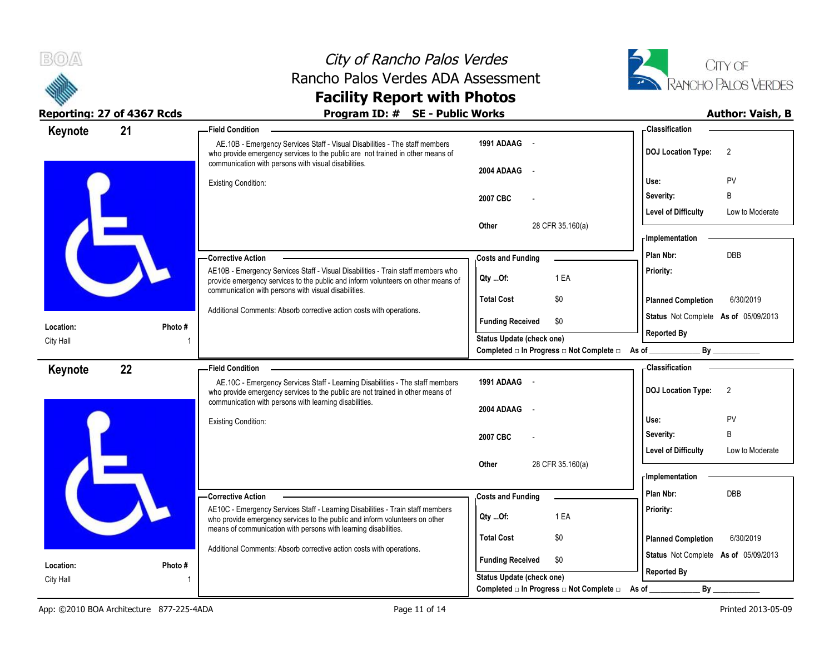



| Keynote   | 21      | <b>Field Condition</b>                                                                                                                                                                                                |                                                                                      | - Classification                                                |
|-----------|---------|-----------------------------------------------------------------------------------------------------------------------------------------------------------------------------------------------------------------------|--------------------------------------------------------------------------------------|-----------------------------------------------------------------|
|           |         | AE.10B - Emergency Services Staff - Visual Disabilities - The staff members<br>who provide emergency services to the public are not trained in other means of<br>communication with persons with visual disabilities. | 1991 ADAAG -                                                                         | <b>DOJ Location Type:</b><br>$\overline{2}$                     |
|           |         | <b>Existing Condition:</b>                                                                                                                                                                                            | 2004 ADAAG<br>$\sim$ $-$                                                             | PV<br>Use:                                                      |
|           |         |                                                                                                                                                                                                                       | 2007 CBC                                                                             | Severity:<br>B                                                  |
|           |         |                                                                                                                                                                                                                       |                                                                                      | <b>Level of Difficulty</b><br>Low to Moderate                   |
|           |         |                                                                                                                                                                                                                       | 28 CFR 35.160(a)<br>Other                                                            | <b>Implementation</b>                                           |
|           |         | - Corrective Action                                                                                                                                                                                                   | <b>Costs and Funding</b>                                                             | DBB<br>Plan Nbr:                                                |
|           |         | AE10B - Emergency Services Staff - Visual Disabilities - Train staff members who<br>provide emergency services to the public and inform volunteers on other means of                                                  | 1 EA<br>QtyOf:                                                                       | Priority:                                                       |
|           |         | communication with persons with visual disabilities.                                                                                                                                                                  | <b>Total Cost</b><br>\$0                                                             | <b>Planned Completion</b><br>6/30/2019                          |
| Location: | Photo # | Additional Comments: Absorb corrective action costs with operations.                                                                                                                                                  | <b>Funding Received</b><br>\$0                                                       | Status Not Complete As of 05/09/2013                            |
| City Hall |         |                                                                                                                                                                                                                       | Status Update (check one)<br>Completed □ In Progress □ Not Complete □ As of ________ | <b>Reported By</b><br>By                                        |
| Keynote   | 22      | <b>Field Condition</b>                                                                                                                                                                                                |                                                                                      | - Classification                                                |
|           |         | AE.10C - Emergency Services Staff - Learning Disabilities - The staff members<br>who provide emergency services to the public are not trained in other means of                                                       | 1991 ADAAG -                                                                         | <b>DOJ Location Type:</b><br>$\overline{2}$                     |
|           |         | communication with persons with learning disabilities.                                                                                                                                                                | 2004 ADAAG -                                                                         |                                                                 |
|           |         | <b>Existing Condition:</b>                                                                                                                                                                                            |                                                                                      | Use:<br>PV                                                      |
|           |         |                                                                                                                                                                                                                       | 2007 CBC                                                                             | B<br>Severity:<br><b>Level of Difficulty</b><br>Low to Moderate |
|           |         |                                                                                                                                                                                                                       | 28 CFR 35.160(a)<br>Other                                                            |                                                                 |
|           |         |                                                                                                                                                                                                                       |                                                                                      | <b>Implementation</b>                                           |
|           |         | -Corrective Action                                                                                                                                                                                                    | <b>Costs and Funding</b>                                                             | Plan Nbr:<br><b>DBB</b>                                         |
|           |         | AE10C - Emergency Services Staff - Learning Disabilities - Train staff members<br>who provide emergency services to the public and inform volunteers on other                                                         | 1 EA<br>Qty Of:                                                                      | Priority:                                                       |
|           |         | means of communication with persons with learning disabilities.                                                                                                                                                       | <b>Total Cost</b><br>\$0                                                             | <b>Planned Completion</b><br>6/30/2019                          |
| Location: | Photo # | Additional Comments: Absorb corrective action costs with operations.                                                                                                                                                  | <b>Funding Received</b><br>\$0                                                       | Status Not Complete As of 05/09/2013                            |
| City Hall |         |                                                                                                                                                                                                                       | <b>Status Update (check one)</b>                                                     | <b>Reported By</b>                                              |
|           |         |                                                                                                                                                                                                                       | Completed □ In Progress □ Not Complete □ As of                                       | $By_$                                                           |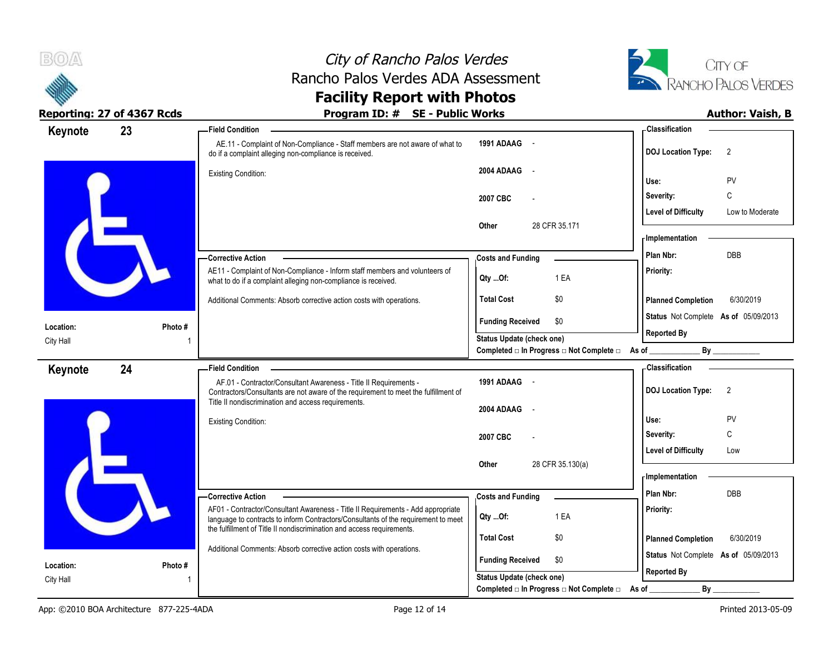



| Keynote   | 23      | <b>Field Condition</b>                                                                                                                                                                                          |                                                                                            | - Classification                              |
|-----------|---------|-----------------------------------------------------------------------------------------------------------------------------------------------------------------------------------------------------------------|--------------------------------------------------------------------------------------------|-----------------------------------------------|
|           |         | AE.11 - Complaint of Non-Compliance - Staff members are not aware of what to<br>do if a complaint alleging non-compliance is received.                                                                          | 1991 ADAAG -                                                                               | <b>DOJ Location Type:</b><br>2                |
|           |         | <b>Existing Condition:</b>                                                                                                                                                                                      | 2004 ADAAG<br>$\sim$                                                                       | PV<br>Use:                                    |
|           |         |                                                                                                                                                                                                                 | 2007 CBC<br>$\overline{\phantom{a}}$                                                       | C<br>Severity:                                |
|           |         |                                                                                                                                                                                                                 |                                                                                            | <b>Level of Difficulty</b><br>Low to Moderate |
|           |         |                                                                                                                                                                                                                 | 28 CFR 35.171<br>Other                                                                     | - Implementation                              |
|           |         | - Corrective Action                                                                                                                                                                                             | <b>Costs and Funding</b>                                                                   | DBB<br>Plan Nbr:                              |
|           |         | AE11 - Complaint of Non-Compliance - Inform staff members and volunteers of<br>what to do if a complaint alleging non-compliance is received.                                                                   | 1 EA<br>Qty Of:                                                                            | Priority:                                     |
|           |         | Additional Comments: Absorb corrective action costs with operations.                                                                                                                                            | <b>Total Cost</b><br>\$0                                                                   | <b>Planned Completion</b><br>6/30/2019        |
| Location: | Photo#  |                                                                                                                                                                                                                 | <b>Funding Received</b><br>\$0                                                             | Status Not Complete As of 05/09/2013          |
| City Hall |         |                                                                                                                                                                                                                 | <b>Status Update (check one)</b><br>Completed □ In Progress □ Not Complete □ As of _______ | <b>Reported By</b><br>By                      |
| Keynote   | 24      | <b>Field Condition</b>                                                                                                                                                                                          |                                                                                            | - Classification                              |
|           |         | AF.01 - Contractor/Consultant Awareness - Title II Requirements -<br>Contractors/Consultants are not aware of the requirement to meet the fulfillment of<br>Title II nondiscrimination and access requirements. | 1991 ADAAG -                                                                               | <b>DOJ Location Type:</b><br>$\overline{2}$   |
|           |         |                                                                                                                                                                                                                 | 2004 ADAAG<br>$\sim$                                                                       | Use:<br><b>PV</b>                             |
|           |         | Existing Condition:                                                                                                                                                                                             | 2007 CBC                                                                                   | C<br>Severity:                                |
|           |         |                                                                                                                                                                                                                 |                                                                                            | <b>Level of Difficulty</b><br>Low             |
|           |         |                                                                                                                                                                                                                 | 28 CFR 35.130(a)<br>Other                                                                  | - Implementation                              |
|           |         |                                                                                                                                                                                                                 |                                                                                            | Plan Nbr:<br><b>DBB</b>                       |
|           |         | - Corrective Action<br>AF01 - Contractor/Consultant Awareness - Title II Requirements - Add appropriate                                                                                                         | <b>Costs and Funding</b>                                                                   | Priority:                                     |
|           |         | language to contracts to inform Contractors/Consultants of the requirement to meet<br>the fulfillment of Title II nondiscrimination and access requirements.                                                    | 1 EA<br>Qty Of:                                                                            |                                               |
|           |         |                                                                                                                                                                                                                 | <b>Total Cost</b><br>\$0                                                                   | <b>Planned Completion</b><br>6/30/2019        |
|           |         | Additional Comments: Absorb corrective action costs with operations.                                                                                                                                            |                                                                                            | Status Not Complete As of 05/09/2013          |
| Location: | Photo # |                                                                                                                                                                                                                 | <b>Funding Received</b><br>\$0                                                             |                                               |
| City Hall |         |                                                                                                                                                                                                                 | <b>Status Update (check one)</b><br>Completed □ In Progress □ Not Complete □               | <b>Reported By</b><br>By                      |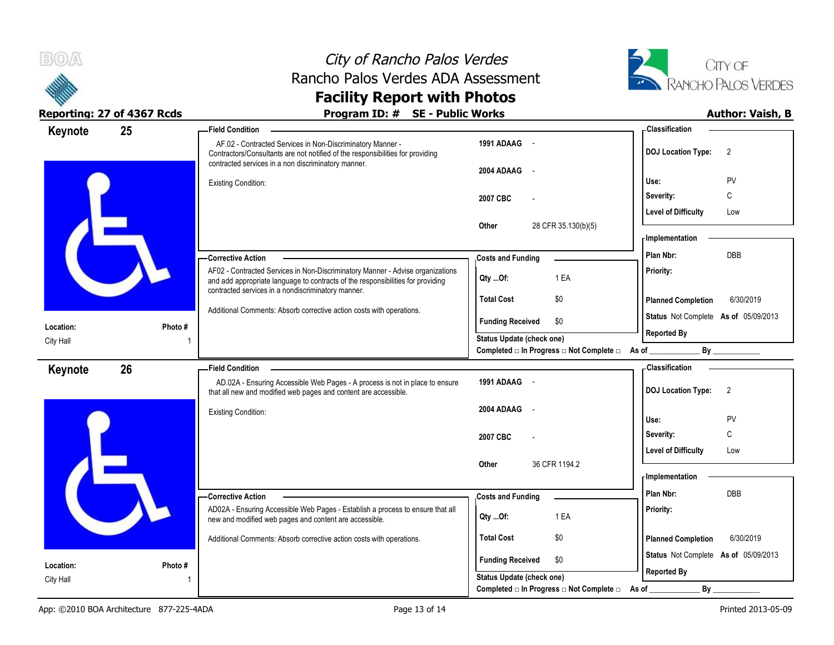



| Keynote   | 25      | - Field Condition                                                                                                                                                                                   |                                                                               | - Classification                                           |
|-----------|---------|-----------------------------------------------------------------------------------------------------------------------------------------------------------------------------------------------------|-------------------------------------------------------------------------------|------------------------------------------------------------|
|           |         | AF.02 - Contracted Services in Non-Discriminatory Manner -<br>Contractors/Consultants are not notified of the responsibilities for providing<br>contracted services in a non discriminatory manner. | 1991 ADAAG -                                                                  | <b>DOJ Location Type:</b><br>$\overline{2}$                |
|           |         | <b>Existing Condition:</b>                                                                                                                                                                          | 2004 ADAAG<br>$\sim$                                                          | Use:<br>PV                                                 |
|           |         |                                                                                                                                                                                                     | 2007 CBC                                                                      | C<br>Severity:                                             |
|           |         |                                                                                                                                                                                                     |                                                                               | <b>Level of Difficulty</b><br>Low                          |
|           |         |                                                                                                                                                                                                     | 28 CFR 35.130(b)(5)<br>Other                                                  | - Implementation                                           |
|           |         | — Corrective Action                                                                                                                                                                                 | <b>Costs and Funding</b>                                                      | Plan Nbr:<br>DBB                                           |
|           |         | AF02 - Contracted Services in Non-Discriminatory Manner - Advise organizations<br>and add appropriate language to contracts of the responsibilities for providing                                   | 1 EA<br>$Qty$ Of:                                                             | Priority:                                                  |
|           |         | contracted services in a nondiscriminatory manner.                                                                                                                                                  | <b>Total Cost</b><br>\$0                                                      | <b>Planned Completion</b><br>6/30/2019                     |
| Location: | Photo # | Additional Comments: Absorb corrective action costs with operations.                                                                                                                                | <b>Funding Received</b><br>\$0                                                | Status Not Complete As of 05/09/2013                       |
| City Hall |         |                                                                                                                                                                                                     | Status Update (check one)<br>Completed □ In Progress □ Not Complete □ As of _ | <b>Reported By</b><br>By                                   |
| Keynote   | 26      | - Field Condition                                                                                                                                                                                   |                                                                               | - Classification                                           |
|           |         | AD.02A - Ensuring Accessible Web Pages - A process is not in place to ensure<br>that all new and modified web pages and content are accessible.                                                     | 1991 ADAAG -                                                                  | <b>DOJ Location Type:</b><br>$\overline{2}$                |
|           |         | <b>Existing Condition:</b>                                                                                                                                                                          | 2004 ADAAG<br>$\sim$                                                          | Use:<br>PV                                                 |
|           |         |                                                                                                                                                                                                     | 2007 CBC                                                                      | C<br>Severity:                                             |
|           |         |                                                                                                                                                                                                     |                                                                               | <b>Level of Difficulty</b><br>Low                          |
|           |         |                                                                                                                                                                                                     | 36 CFR 1194.2<br>Other                                                        | <b>Implementation</b>                                      |
|           |         | -Corrective Action                                                                                                                                                                                  | <b>Costs and Funding</b>                                                      | Plan Nbr:<br><b>DBB</b>                                    |
|           |         |                                                                                                                                                                                                     |                                                                               |                                                            |
|           |         | AD02A - Ensuring Accessible Web Pages - Establish a process to ensure that all<br>new and modified web pages and content are accessible.                                                            | 1 EA<br>Qty Of:                                                               | Priority:                                                  |
|           |         | Additional Comments: Absorb corrective action costs with operations.                                                                                                                                | <b>Total Cost</b><br>\$0                                                      | <b>Planned Completion</b><br>6/30/2019                     |
| Location: | Photo # |                                                                                                                                                                                                     | <b>Funding Received</b><br>\$0<br>Status Update (check one)                   | Status Not Complete As of 05/09/2013<br><b>Reported By</b> |